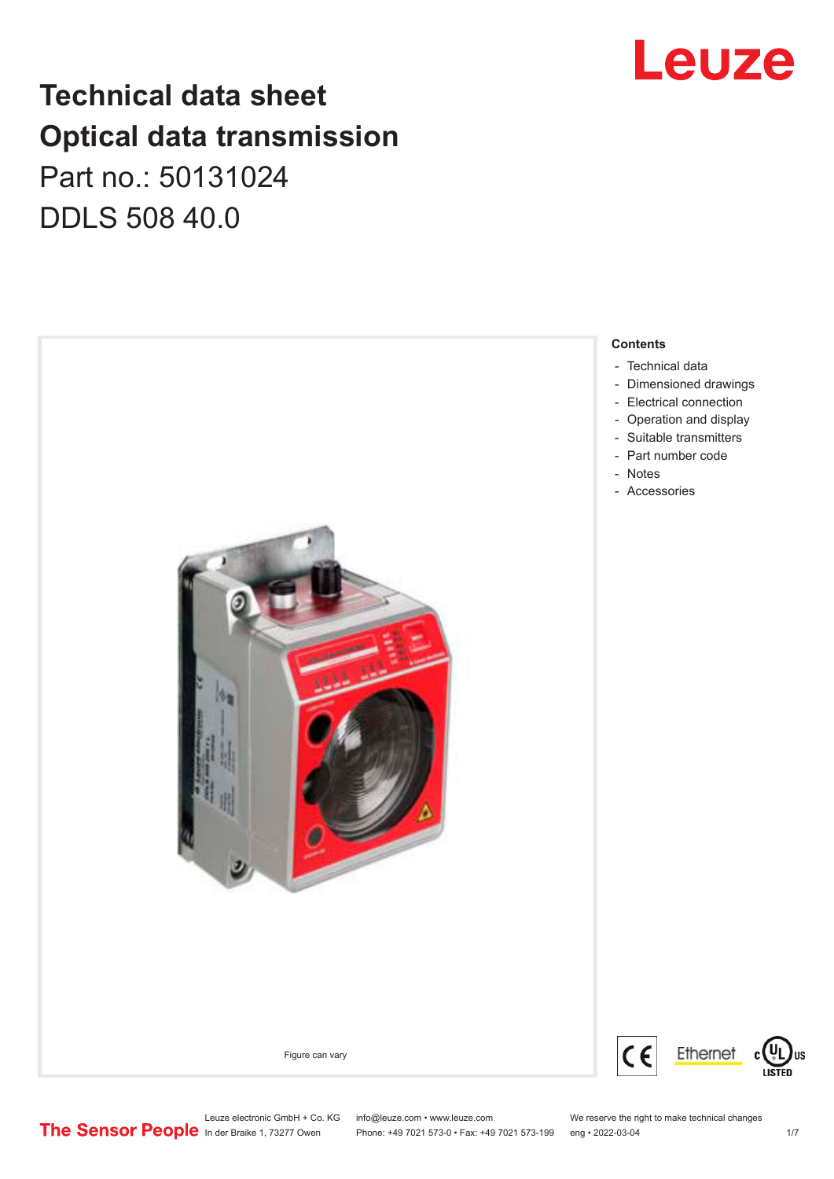## **Technical data sheet Optical data transmission** Part no.: 50131024

DDLS 508 40.0



## Leuze

Leuze electronic GmbH + Co. KG info@leuze.com • www.leuze.com We reserve the right to make technical changes<br>
The Sensor People in der Braike 1, 73277 Owen Phone: +49 7021 573-0 • Fax: +49 7021 573-199 eng • 2022-03-04

Phone: +49 7021 573-0 • Fax: +49 7021 573-199 eng • 2022-03-04 1/7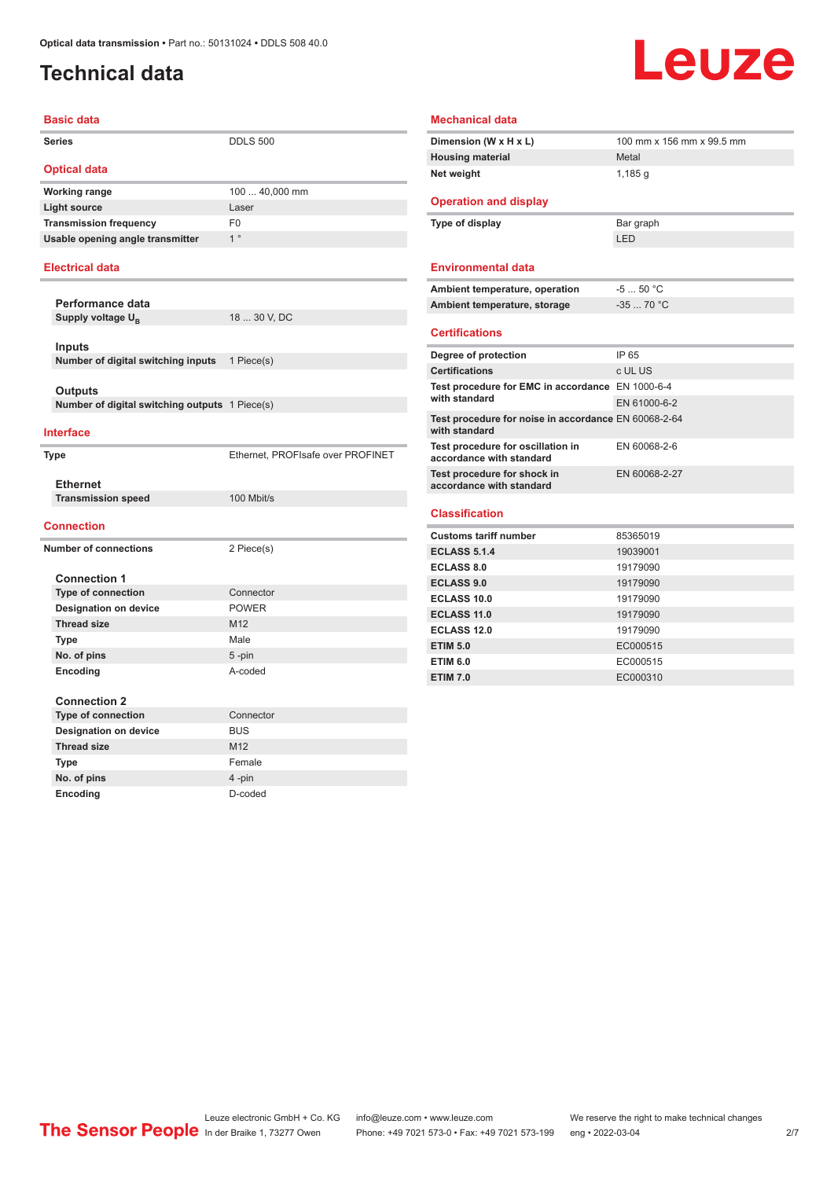#### <span id="page-1-0"></span>**Technical data**

## **Leuze**

| <b>Basic data</b>                              |                                   |
|------------------------------------------------|-----------------------------------|
| <b>Series</b>                                  | <b>DDLS 500</b>                   |
| <b>Optical data</b>                            |                                   |
| <b>Working range</b>                           | 100  40,000 mm                    |
| <b>Light source</b>                            | Laser                             |
| <b>Transmission frequency</b>                  | F <sub>0</sub>                    |
| Usable opening angle transmitter               | 1 <sup>°</sup>                    |
| <b>Electrical data</b>                         |                                   |
| Performance data                               |                                   |
| Supply voltage U <sub>p</sub>                  | 18  30 V, DC                      |
|                                                |                                   |
| Inputs                                         |                                   |
| Number of digital switching inputs             | 1 Piece(s)                        |
| Outputs                                        |                                   |
| Number of digital switching outputs 1 Piece(s) |                                   |
|                                                |                                   |
| <b>Interface</b>                               |                                   |
| <b>Type</b>                                    | Ethernet, PROFIsafe over PROFINET |
|                                                |                                   |
| <b>Ethernet</b>                                |                                   |
| <b>Transmission speed</b>                      | 100 Mbit/s                        |
| <b>Connection</b>                              |                                   |
| <b>Number of connections</b>                   | 2 Piece(s)                        |
|                                                |                                   |
| <b>Connection 1</b>                            |                                   |
| <b>Type of connection</b>                      | Connector                         |
| <b>Designation on device</b>                   | <b>POWER</b>                      |
| <b>Thread size</b>                             | M12                               |
| Type                                           | Male                              |
| No. of pins                                    | $5 - pin$<br>A-coded              |
| Encoding                                       |                                   |
| <b>Connection 2</b>                            |                                   |
| <b>Type of connection</b>                      | Connector                         |
| <b>Designation on device</b>                   | <b>BUS</b>                        |
| <b>Thread size</b>                             | M12                               |
| Type                                           | Female                            |
| No. of pins                                    | 4-pin                             |
|                                                |                                   |

| <b>Mechanical data</b>                                                |                           |
|-----------------------------------------------------------------------|---------------------------|
| Dimension (W x H x L)                                                 | 100 mm x 156 mm x 99.5 mm |
| <b>Housing material</b>                                               | Metal                     |
| Net weight                                                            | $1,185$ g                 |
| <b>Operation and display</b>                                          |                           |
| Type of display                                                       | Bar graph                 |
|                                                                       | LED                       |
| <b>Environmental data</b>                                             |                           |
| Ambient temperature, operation                                        | $-550 °C$                 |
| Ambient temperature, storage                                          | $-3570 °C$                |
| <b>Certifications</b>                                                 |                           |
| Degree of protection                                                  | IP 65                     |
| <b>Certifications</b>                                                 | c UL US                   |
| Test procedure for EMC in accordance EN 1000-6-4                      |                           |
| with standard                                                         | EN 61000-6-2              |
| Test procedure for noise in accordance EN 60068-2-64<br>with standard |                           |
| Test procedure for oscillation in<br>accordance with standard         | EN 60068-2-6              |
| Test procedure for shock in<br>accordance with standard               | EN 60068-2-27             |
| <b>Classification</b>                                                 |                           |
| <b>Customs tariff number</b>                                          | 85365019                  |
| <b>ECLASS 5.1.4</b>                                                   | 19039001                  |
| <b>ECLASS 8.0</b>                                                     | 19179090                  |
| <b>ECLASS 9.0</b>                                                     | 19179090                  |
|                                                                       | 19179090                  |
| ECLASS 10.0                                                           |                           |
| <b>ECLASS 11.0</b>                                                    | 19179090                  |
| <b>ECLASS 12.0</b>                                                    | 19179090                  |
| <b>ETIM 5.0</b>                                                       | EC000515                  |
| <b>ETIM 6.0</b>                                                       | EC000515                  |

Leuze electronic GmbH + Co. KG info@leuze.com • www.leuze.com We reserve the right to make technical changes ln der Braike 1, 73277 Owen Phone: +49 7021 573-0 • Fax: +49 7021 573-199 eng • 2022-03-04 2/7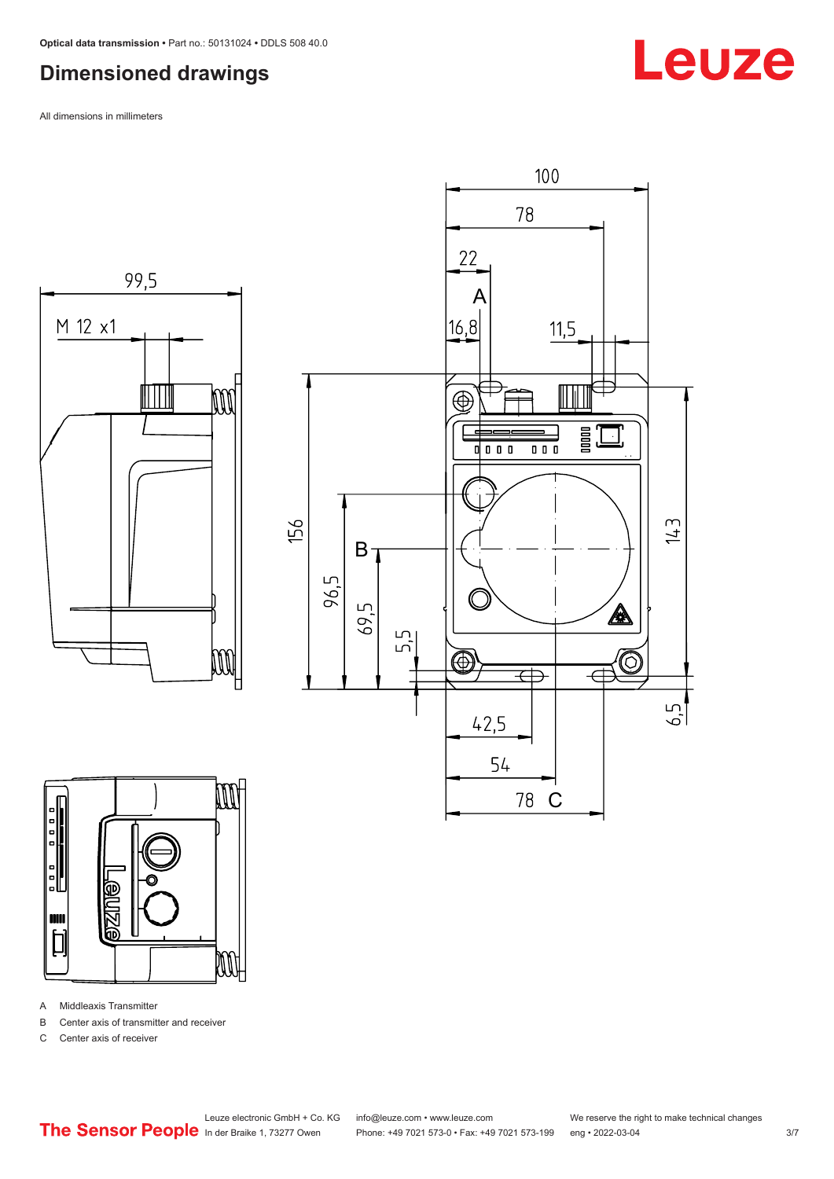### <span id="page-2-0"></span>**Dimensioned drawings**

All dimensions in millimeters









A Middleaxis Transmitter

B Center axis of transmitter and receiver

C Center axis of receiver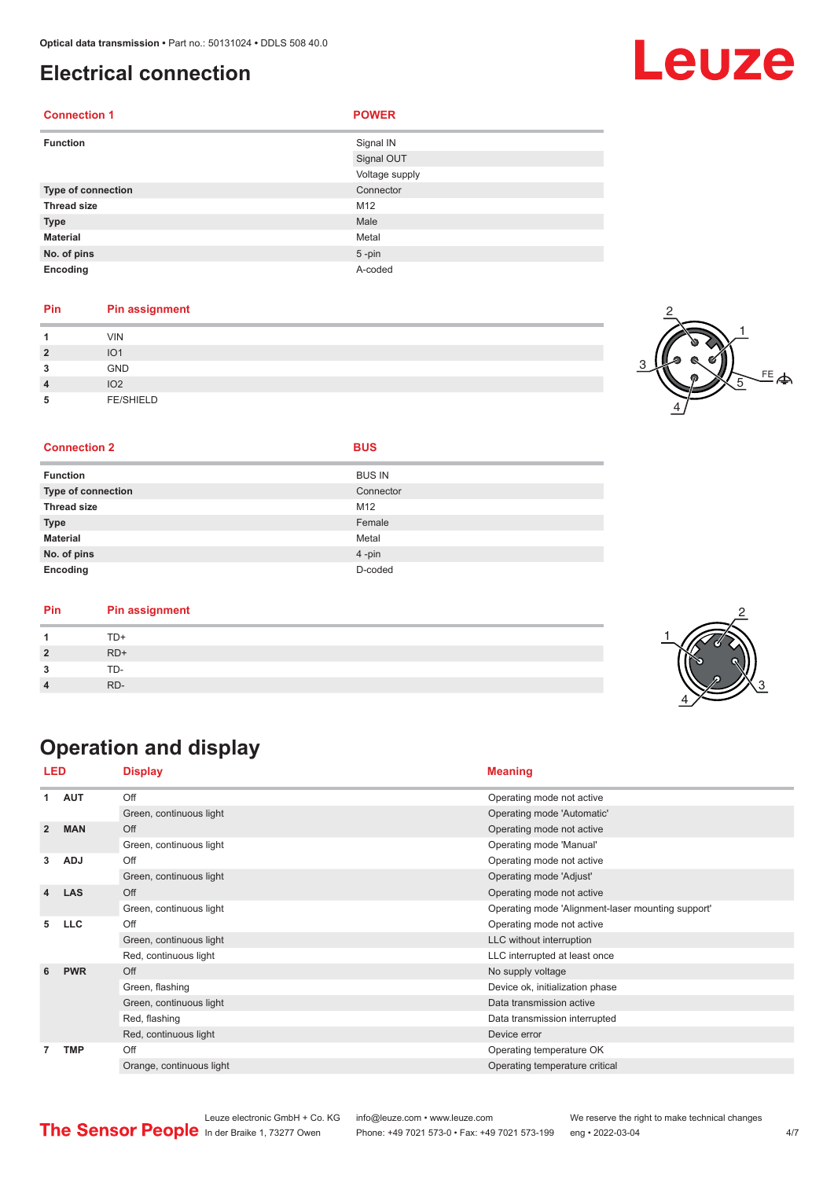#### <span id="page-3-0"></span>**Electrical connection**

| <b>Connection 1</b> | <b>POWER</b>   |
|---------------------|----------------|
| <b>Function</b>     | Signal IN      |
|                     | Signal OUT     |
|                     | Voltage supply |
| Type of connection  | Connector      |
| <b>Thread size</b>  | M12            |
| <b>Type</b>         | Male           |
| <b>Material</b>     | Metal          |
| No. of pins         | $5 - pin$      |
| Encoding            | A-coded        |

#### **Pin Pin assignment**

| и              | <b>VIN</b>       |  |
|----------------|------------------|--|
| $\overline{2}$ | IO <sub>1</sub>  |  |
| 3              | <b>GND</b>       |  |
| $\overline{4}$ | IO <sub>2</sub>  |  |
| 5              | <b>FE/SHIELD</b> |  |



#### **Connection 2 BUS**

| <b>Function</b>           | <b>BUS IN</b> |
|---------------------------|---------------|
| <b>Type of connection</b> | Connector     |
| <b>Thread size</b>        | M12           |
| <b>Type</b>               | Female        |
| <b>Material</b>           | Metal         |
| No. of pins               | 4-pin         |
| Encoding                  | D-coded       |

| Pin | <b>Pin assignment</b> |
|-----|-----------------------|
|     | TD+                   |
|     | $RD+$                 |
|     | TD-                   |
|     | RD-                   |

### **Operation and display**

| <b>LED</b>     |            | <b>Display</b>           | <b>Meaning</b>                                    |
|----------------|------------|--------------------------|---------------------------------------------------|
| 1              | <b>AUT</b> | Off                      | Operating mode not active                         |
|                |            | Green, continuous light  | Operating mode 'Automatic'                        |
| $\overline{2}$ | <b>MAN</b> | Off                      | Operating mode not active                         |
|                |            | Green, continuous light  | Operating mode 'Manual'                           |
| 3              | <b>ADJ</b> | Off                      | Operating mode not active                         |
|                |            | Green, continuous light  | Operating mode 'Adjust'                           |
| 4              | <b>LAS</b> | Off                      | Operating mode not active                         |
|                |            | Green, continuous light  | Operating mode 'Alignment-laser mounting support' |
| 5              | <b>LLC</b> | Off                      | Operating mode not active                         |
|                |            | Green, continuous light  | LLC without interruption                          |
|                |            | Red, continuous light    | LLC interrupted at least once                     |
| 6              | <b>PWR</b> | Off                      | No supply voltage                                 |
|                |            | Green, flashing          | Device ok, initialization phase                   |
|                |            | Green, continuous light  | Data transmission active                          |
|                |            | Red, flashing            | Data transmission interrupted                     |
|                |            | Red, continuous light    | Device error                                      |
|                | <b>TMP</b> | Off                      | Operating temperature OK                          |
|                |            | Orange, continuous light | Operating temperature critical                    |

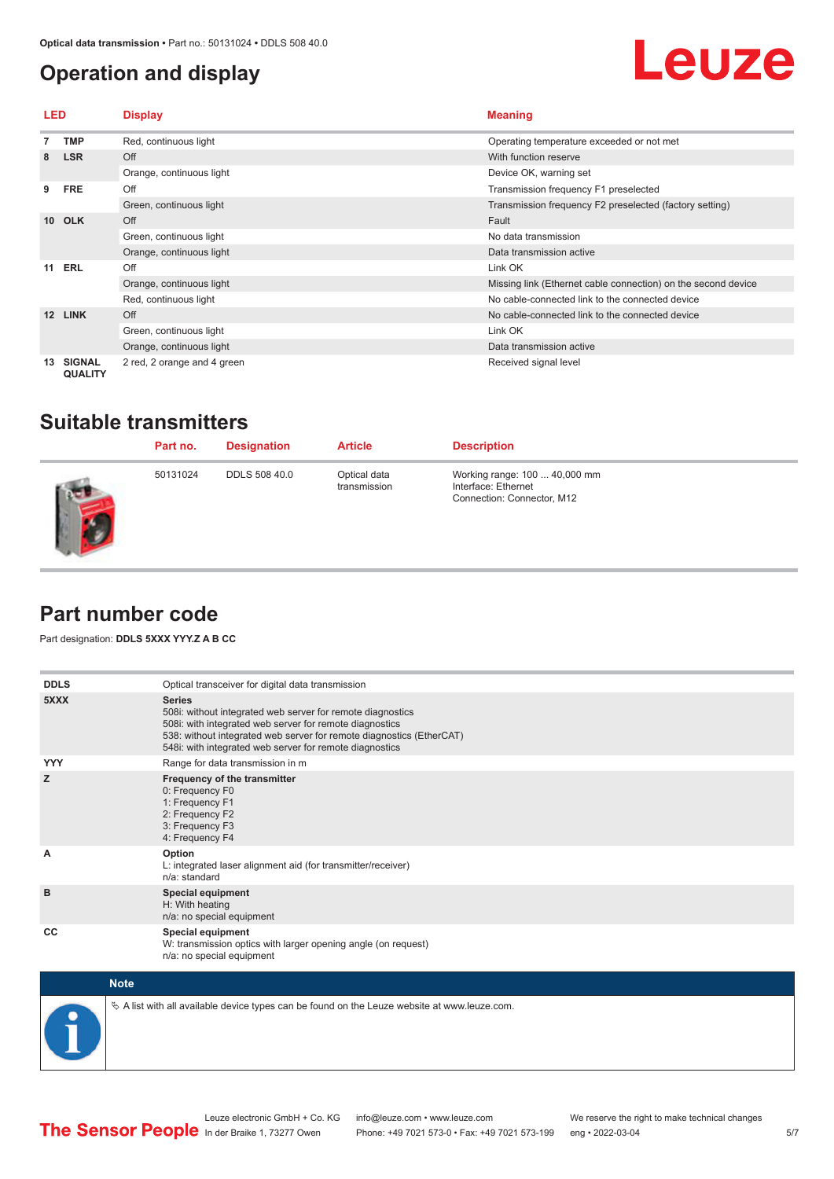#### <span id="page-4-0"></span>**Operation and display**



| LED             |                                 | <b>Display</b>              | <b>Meaning</b>                                                |
|-----------------|---------------------------------|-----------------------------|---------------------------------------------------------------|
|                 | <b>TMP</b>                      | Red, continuous light       | Operating temperature exceeded or not met                     |
| 8               | <b>LSR</b>                      | Off                         | With function reserve                                         |
|                 |                                 | Orange, continuous light    | Device OK, warning set                                        |
| 9               | <b>FRE</b>                      | Off                         | Transmission frequency F1 preselected                         |
|                 |                                 | Green, continuous light     | Transmission frequency F2 preselected (factory setting)       |
| 10 <sup>1</sup> | <b>OLK</b>                      | Off                         | Fault                                                         |
|                 |                                 | Green, continuous light     | No data transmission                                          |
|                 |                                 | Orange, continuous light    | Data transmission active                                      |
| 11              | ERL                             | Off                         | Link OK                                                       |
|                 |                                 | Orange, continuous light    | Missing link (Ethernet cable connection) on the second device |
|                 |                                 | Red, continuous light       | No cable-connected link to the connected device               |
| 12              | <b>LINK</b>                     | Off                         | No cable-connected link to the connected device               |
|                 |                                 | Green, continuous light     | Link OK                                                       |
|                 |                                 | Orange, continuous light    | Data transmission active                                      |
| 13              | <b>SIGNAL</b><br><b>QUALITY</b> | 2 red, 2 orange and 4 green | Received signal level                                         |

#### **Suitable transmitters**

| Part no. | <b>Designation</b>   | <b>Article</b>               | <b>Description</b>                                                                 |
|----------|----------------------|------------------------------|------------------------------------------------------------------------------------|
| 50131024 | <b>DDLS 508 40.0</b> | Optical data<br>transmission | Working range: 100  40,000 mm<br>Interface: Ethernet<br>Connection: Connector, M12 |

#### **Part number code**

- 1

Part designation: **DDLS 5XXX YYY.Z A B CC**

| <b>DDLS</b> | Optical transceiver for digital data transmission                                                                                                                                                                                                                         |
|-------------|---------------------------------------------------------------------------------------------------------------------------------------------------------------------------------------------------------------------------------------------------------------------------|
| 5XXX        | <b>Series</b><br>508i: without integrated web server for remote diagnostics<br>508i: with integrated web server for remote diagnostics<br>538: without integrated web server for remote diagnostics (EtherCAT)<br>548i: with integrated web server for remote diagnostics |
| <b>YYY</b>  | Range for data transmission in m                                                                                                                                                                                                                                          |
| z           | Frequency of the transmitter<br>0: Frequency F0<br>1: Frequency F1<br>2: Frequency F2<br>3: Frequency F3<br>4: Frequency F4                                                                                                                                               |
| A           | Option<br>L: integrated laser alignment aid (for transmitter/receiver)<br>n/a: standard                                                                                                                                                                                   |
| B           | <b>Special equipment</b><br>H: With heating<br>n/a: no special equipment                                                                                                                                                                                                  |
| CC          | Special equipment<br>W: transmission optics with larger opening angle (on request)<br>n/a: no special equipment                                                                                                                                                           |
| <b>Note</b> |                                                                                                                                                                                                                                                                           |



 $\&$  A list with all available device types can be found on the Leuze website at www.leuze.com.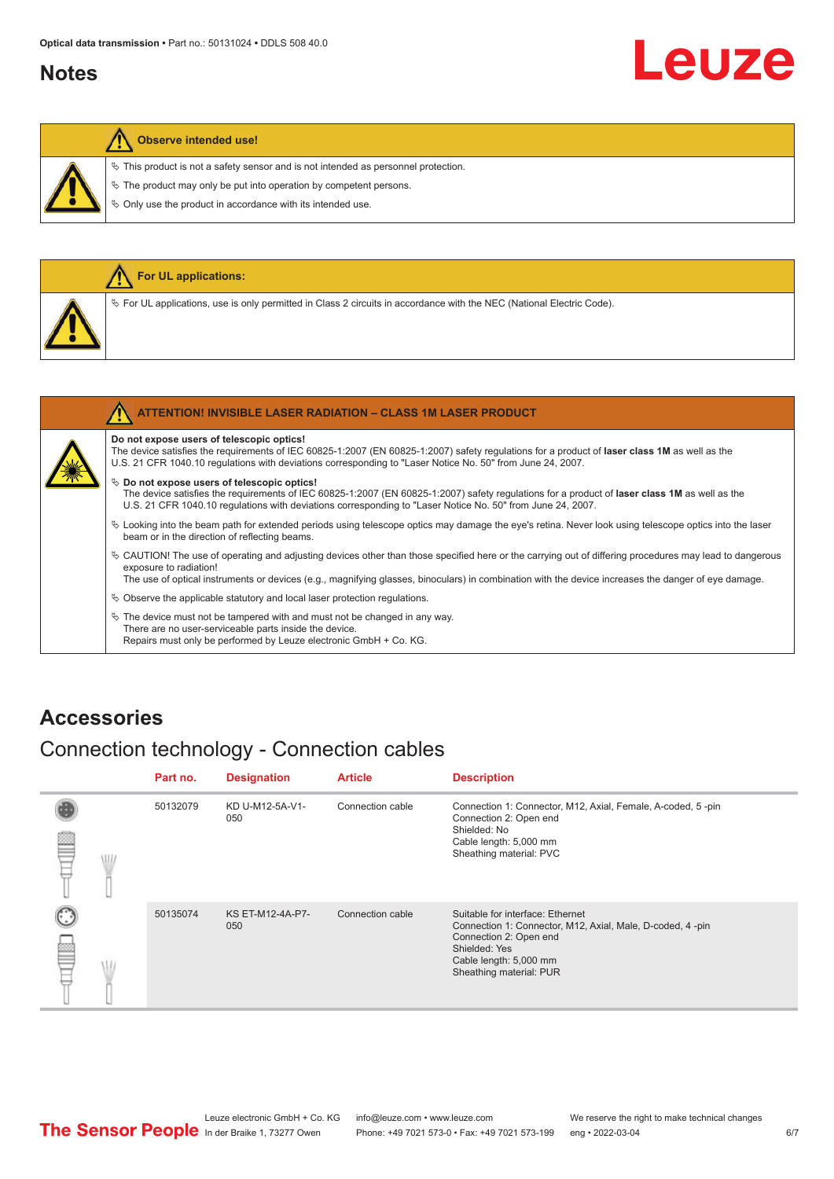#### <span id="page-5-0"></span>**Notes**

# Leuze

#### **Observe intended use!**

 $\%$  This product is not a safety sensor and is not intended as personnel protection.

 $\&$  The product may only be put into operation by competent persons.

 $\%$  Only use the product in accordance with its intended use.

|  | <b>For UL applications:</b>                                                                                                                                                                                                                                                                              |
|--|----------------------------------------------------------------------------------------------------------------------------------------------------------------------------------------------------------------------------------------------------------------------------------------------------------|
|  | $\%$ For UL applications, use is only permitted in Class 2 circuits in accordance with the NEC (National Electric Code).                                                                                                                                                                                 |
|  |                                                                                                                                                                                                                                                                                                          |
|  | ATTENTION! INVISIBLE LASER RADIATION - CLASS 1M LASER PRODUCT                                                                                                                                                                                                                                            |
|  | Do not expose users of telescopic optics!<br>The device satisfies the requirements of IEC 60825-1:2007 (EN 60825-1:2007) safety regulations for a product of laser class 1M as well as the<br>U.S. 21 CFR 1040.10 regulations with deviations corresponding to "Laser Notice No. 50" from June 24, 2007. |

#### $\%$  Do not expose users of telescopic optics!

The device satisfies the requirements of IEC 60825-1:2007 (EN 60825-1:2007) safety regulations for a product of **laser class 1M** as well as the U.S. 21 CFR 1040.10 regulations with deviations corresponding to "Laser Notice No. 50" from June 24, 2007.

- ª Looking into the beam path for extended periods using telescope optics may damage the eye's retina. Never look using telescope optics into the laser beam or in the direction of reflecting beams.
- ª CAUTION! The use of operating and adjusting devices other than those specified here or the carrying out of differing procedures may lead to dangerous exposure to radiation!

The use of optical instruments or devices (e.g., magnifying glasses, binoculars) in combination with the device increases the danger of eye damage.

 $\%$  Observe the applicable statutory and local laser protection regulations.

 $\%$  The device must not be tampered with and must not be changed in any way. There are no user-serviceable parts inside the device. Repairs must only be performed by Leuze electronic GmbH + Co. KG.

#### **Accessories**

#### Connection technology - Connection cables

|   |   | Part no. | <b>Designation</b>      | <b>Article</b>   | <b>Description</b>                                                                                                                                                                            |
|---|---|----------|-------------------------|------------------|-----------------------------------------------------------------------------------------------------------------------------------------------------------------------------------------------|
| ≝ | W | 50132079 | KD U-M12-5A-V1-<br>050  | Connection cable | Connection 1: Connector, M12, Axial, Female, A-coded, 5-pin<br>Connection 2: Open end<br>Shielded: No<br>Cable length: 5,000 mm<br>Sheathing material: PVC                                    |
| b |   | 50135074 | KS ET-M12-4A-P7-<br>050 | Connection cable | Suitable for interface: Ethernet<br>Connection 1: Connector, M12, Axial, Male, D-coded, 4-pin<br>Connection 2: Open end<br>Shielded: Yes<br>Cable length: 5,000 mm<br>Sheathing material: PUR |